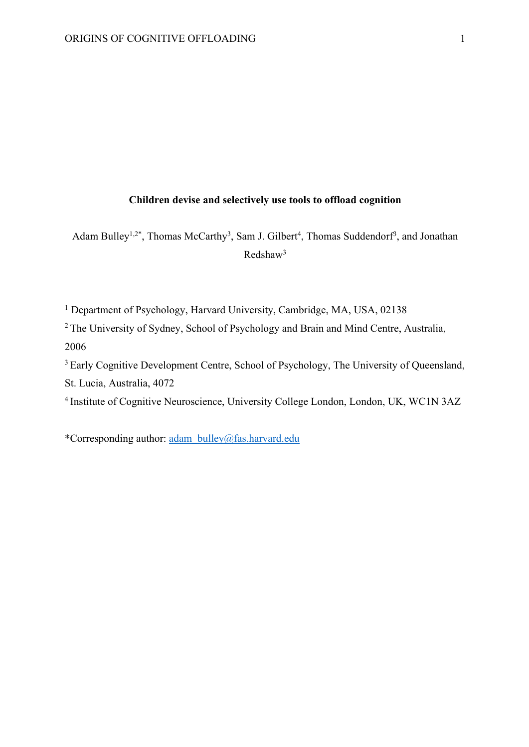# **Children devise and selectively use tools to offload cognition**

Adam Bulley<sup>1,2\*</sup>, Thomas McCarthy<sup>3</sup>, Sam J. Gilbert<sup>4</sup>, Thomas Suddendorf<sup>3</sup>, and Jonathan Redshaw3

<sup>1</sup> Department of Psychology, Harvard University, Cambridge, MA, USA, 02138

2 The University of Sydney, School of Psychology and Brain and Mind Centre, Australia, 2006

<sup>3</sup> Early Cognitive Development Centre, School of Psychology, The University of Queensland, St. Lucia, Australia, 4072

<sup>4</sup> Institute of Cognitive Neuroscience, University College London, London, UK, WC1N 3AZ

\*Corresponding author: adam\_bulley@fas.harvard.edu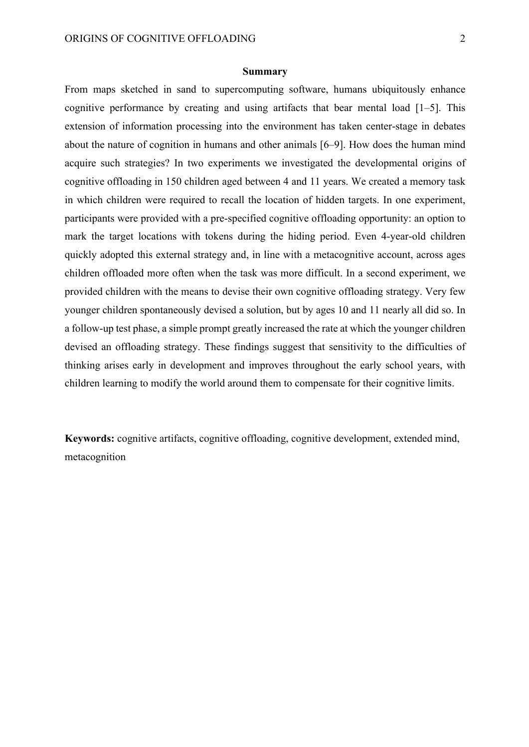#### **Summary**

From maps sketched in sand to supercomputing software, humans ubiquitously enhance cognitive performance by creating and using artifacts that bear mental load [1–5]. This extension of information processing into the environment has taken center-stage in debates about the nature of cognition in humans and other animals [6–9]. How does the human mind acquire such strategies? In two experiments we investigated the developmental origins of cognitive offloading in 150 children aged between 4 and 11 years. We created a memory task in which children were required to recall the location of hidden targets. In one experiment, participants were provided with a pre-specified cognitive offloading opportunity: an option to mark the target locations with tokens during the hiding period. Even 4-year-old children quickly adopted this external strategy and, in line with a metacognitive account, across ages children offloaded more often when the task was more difficult. In a second experiment, we provided children with the means to devise their own cognitive offloading strategy. Very few younger children spontaneously devised a solution, but by ages 10 and 11 nearly all did so. In a follow-up test phase, a simple prompt greatly increased the rate at which the younger children devised an offloading strategy. These findings suggest that sensitivity to the difficulties of thinking arises early in development and improves throughout the early school years, with children learning to modify the world around them to compensate for their cognitive limits.

**Keywords:** cognitive artifacts, cognitive offloading, cognitive development, extended mind, metacognition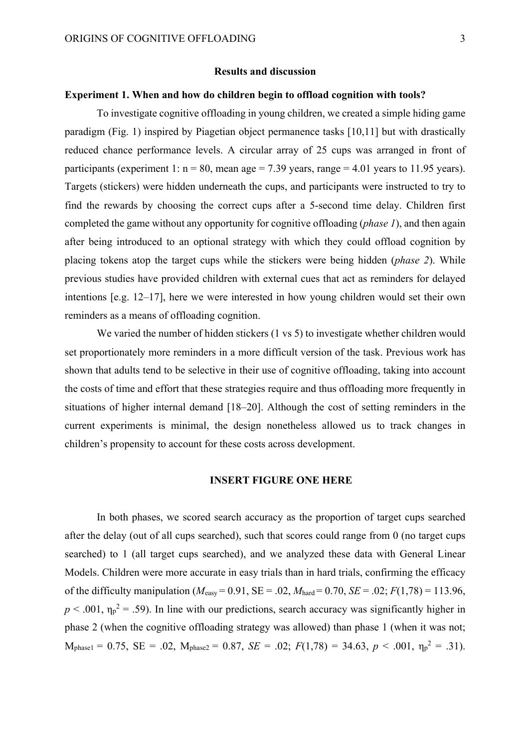#### **Results and discussion**

## **Experiment 1. When and how do children begin to offload cognition with tools?**

To investigate cognitive offloading in young children, we created a simple hiding game paradigm (Fig. 1) inspired by Piagetian object permanence tasks [10,11] but with drastically reduced chance performance levels. A circular array of 25 cups was arranged in front of participants (experiment 1:  $n = 80$ , mean age = 7.39 years, range = 4.01 years to 11.95 years). Targets (stickers) were hidden underneath the cups, and participants were instructed to try to find the rewards by choosing the correct cups after a 5-second time delay. Children first completed the game without any opportunity for cognitive offloading (*phase 1*), and then again after being introduced to an optional strategy with which they could offload cognition by placing tokens atop the target cups while the stickers were being hidden (*phase 2*). While previous studies have provided children with external cues that act as reminders for delayed intentions [e.g. 12–17], here we were interested in how young children would set their own reminders as a means of offloading cognition.

We varied the number of hidden stickers (1 vs 5) to investigate whether children would set proportionately more reminders in a more difficult version of the task. Previous work has shown that adults tend to be selective in their use of cognitive offloading, taking into account the costs of time and effort that these strategies require and thus offloading more frequently in situations of higher internal demand [18–20]. Although the cost of setting reminders in the current experiments is minimal, the design nonetheless allowed us to track changes in children's propensity to account for these costs across development.

#### **INSERT FIGURE ONE HERE**

In both phases, we scored search accuracy as the proportion of target cups searched after the delay (out of all cups searched), such that scores could range from 0 (no target cups searched) to 1 (all target cups searched), and we analyzed these data with General Linear Models. Children were more accurate in easy trials than in hard trials, confirming the efficacy of the difficulty manipulation ( $M_{\text{easy}} = 0.91$ , SE = .02,  $M_{\text{hard}} = 0.70$ , SE = .02;  $F(1,78) = 113.96$ ,  $p < .001$ ,  $\eta_p^2 = .59$ ). In line with our predictions, search accuracy was significantly higher in phase 2 (when the cognitive offloading strategy was allowed) than phase 1 (when it was not;  $M_{\text{phase1}} = 0.75$ ,  $SE = .02$ ,  $M_{\text{phase2}} = 0.87$ ,  $SE = .02$ ;  $F(1,78) = 34.63$ ,  $p < .001$ ,  $\eta_p^2 = .31$ ).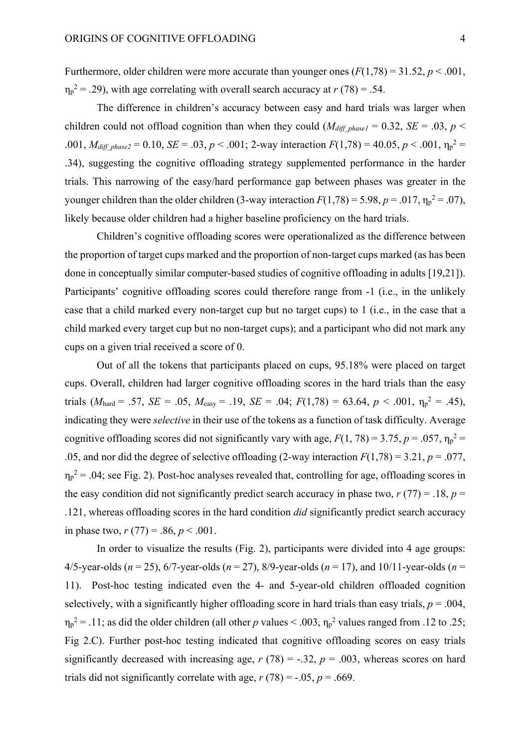Furthermore, older children were more accurate than younger ones  $(F(1,78) = 31.52, p < .001,$  $\eta_p^2 = .29$ ), with age correlating with overall search accuracy at  $r(78) = .54$ .

The difference in children's accuracy between easy and hard trials was larger when children could not offload cognition than when they could ( $M_{diff\ phase1} = 0.32$ , *SE* = .03, *p* < .001, *M<sub>diff\_phase2</sub>* = 0.10, *SE* = .03, *p* < .001; 2-way interaction  $F(1,78) = 40.05$ ,  $p < .001$ ,  $\eta_p^2 =$ .34), suggesting the cognitive offloading strategy supplemented performance in the harder trials. This narrowing of the easy/hard performance gap between phases was greater in the younger children than the older children (3-way interaction  $F(1,78) = 5.98$ ,  $p = .017$ ,  $\eta_p^2 = .07$ ), likely because older children had a higher baseline proficiency on the hard trials.

Children's cognitive offloading scores were operationalized as the difference between the proportion of target cups marked and the proportion of non-target cups marked (as has been done in conceptually similar computer-based studies of cognitive offloading in adults [19,21]). Participants' cognitive offloading scores could therefore range from  $-1$  (i.e., in the unlikely case that a child marked every non-target cup but no target cups) to 1 (i.e., in the case that a child marked every target cup but no non-target cups); and a participant who did not mark any cups on a given trial received a score of 0.

Out of all the tokens that participants placed on cups, 95.18% were placed on target cups. Overall, children had larger cognitive offloading scores in the hard trials than the easy trials ( $M_{\text{hard}} = .57$ ,  $SE = .05$ ,  $M_{\text{easy}} = .19$ ,  $SE = .04$ ;  $F(1,78) = 63.64$ ,  $p < .001$ ,  $\eta_p^2 = .45$ ), indicating they were *selective* in their use of the tokens as a function of task difficulty. Average cognitive offloading scores did not significantly vary with age,  $F(1, 78) = 3.75$ ,  $p = .057$ ,  $\eta_p^2 =$ .05, and nor did the degree of selective offloading  $(2$ -way interaction  $F(1,78) = 3.21$ ,  $p = .077$ ,  $\eta_p^2$  = .04; see Fig. 2). Post-hoc analyses revealed that, controlling for age, offloading scores in the easy condition did not significantly predict search accuracy in phase two,  $r(77) = .18$ ,  $p =$ .121, whereas offloading scores in the hard condition *did* significantly predict search accuracy in phase two, *r* (77) = .86, *p* < .001.

In order to visualize the results (Fig. 2), participants were divided into 4 age groups: 4/5-year-olds (*n* = 25), 6/7-year-olds (*n* = 27), 8/9-year-olds (*n* = 17), and 10/11-year-olds (*n* = 11). Post-hoc testing indicated even the 4- and 5-year-old children offloaded cognition selectively, with a significantly higher offloading score in hard trials than easy trials,  $p = .004$ ,  $\eta_p^2$  = .11; as did the older children (all other *p* values < .003,  $\eta_p^2$  values ranged from .12 to .25; Fig 2.C). Further post-hoc testing indicated that cognitive offloading scores on easy trials significantly decreased with increasing age,  $r(78) = -0.32$ ,  $p = 0.003$ , whereas scores on hard trials did not significantly correlate with age,  $r(78) = -0.05$ ,  $p = 0.669$ .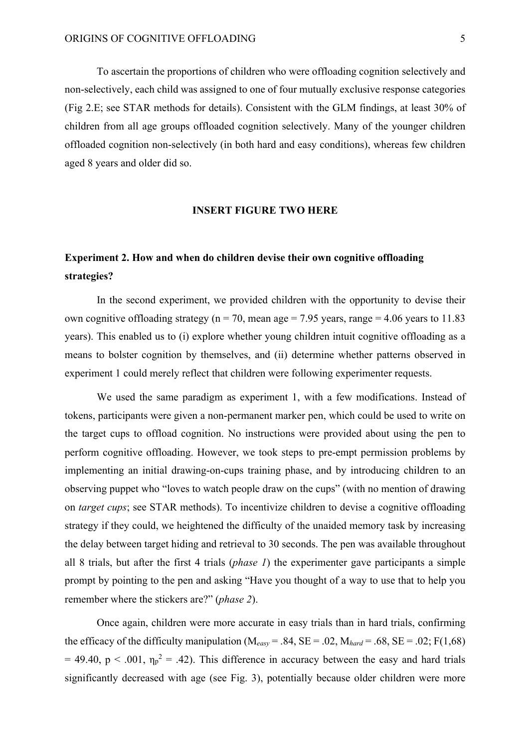To ascertain the proportions of children who were offloading cognition selectively and non-selectively, each child was assigned to one of four mutually exclusive response categories (Fig 2.E; see STAR methods for details). Consistent with the GLM findings, at least 30% of children from all age groups offloaded cognition selectively. Many of the younger children offloaded cognition non-selectively (in both hard and easy conditions), whereas few children aged 8 years and older did so.

#### **INSERT FIGURE TWO HERE**

# **Experiment 2. How and when do children devise their own cognitive offloading strategies?**

In the second experiment, we provided children with the opportunity to devise their own cognitive offloading strategy ( $n = 70$ , mean age = 7.95 years, range = 4.06 years to 11.83 years). This enabled us to (i) explore whether young children intuit cognitive offloading as a means to bolster cognition by themselves, and (ii) determine whether patterns observed in experiment 1 could merely reflect that children were following experimenter requests.

We used the same paradigm as experiment 1, with a few modifications. Instead of tokens, participants were given a non-permanent marker pen, which could be used to write on the target cups to offload cognition. No instructions were provided about using the pen to perform cognitive offloading. However, we took steps to pre-empt permission problems by implementing an initial drawing-on-cups training phase, and by introducing children to an observing puppet who "loves to watch people draw on the cups" (with no mention of drawing on *target cups*; see STAR methods). To incentivize children to devise a cognitive offloading strategy if they could, we heightened the difficulty of the unaided memory task by increasing the delay between target hiding and retrieval to 30 seconds. The pen was available throughout all 8 trials, but after the first 4 trials (*phase 1*) the experimenter gave participants a simple prompt by pointing to the pen and asking "Have you thought of a way to use that to help you remember where the stickers are?" (*phase 2*).

Once again, children were more accurate in easy trials than in hard trials, confirming the efficacy of the difficulty manipulation ( $M_{easy} = .84$ ,  $SE = .02$ ,  $M_{hard} = .68$ ,  $SE = .02$ ;  $F(1,68)$ )  $= 49.40$ ,  $p < .001$ ,  $\eta_p^2 = .42$ ). This difference in accuracy between the easy and hard trials significantly decreased with age (see Fig. 3), potentially because older children were more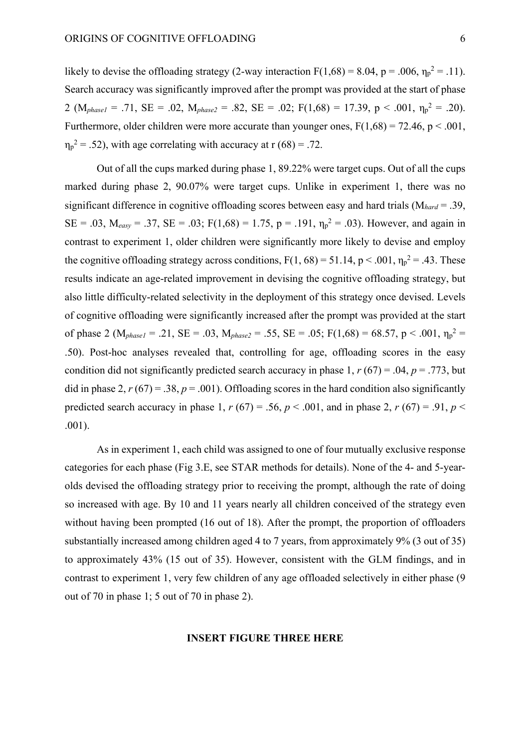likely to devise the offloading strategy (2-way interaction  $F(1,68) = 8.04$ , p = .006,  $\eta_p^2 = .11$ ). Search accuracy was significantly improved after the prompt was provided at the start of phase 2 ( $M_{phase1} = .71$ ,  $SE = .02$ ,  $M_{phase2} = .82$ ,  $SE = .02$ ;  $F(1,68) = 17.39$ ,  $p < .001$ ,  $\eta_p^2 = .20$ ). Furthermore, older children were more accurate than younger ones,  $F(1,68) = 72.46$ ,  $p < .001$ ,  $\eta_p^2 = .52$ , with age correlating with accuracy at r (68) = .72.

Out of all the cups marked during phase 1, 89.22% were target cups. Out of all the cups marked during phase 2, 90.07% were target cups. Unlike in experiment 1, there was no significant difference in cognitive offloading scores between easy and hard trials (M*hard* = .39,  $SE = .03$ ,  $M_{easy} = .37$ ,  $SE = .03$ ;  $F(1,68) = 1.75$ ,  $p = .191$ ,  $\eta_p^2 = .03$ ). However, and again in contrast to experiment 1, older children were significantly more likely to devise and employ the cognitive offloading strategy across conditions,  $F(1, 68) = 51.14$ ,  $p < .001$ ,  $\eta_p^2 = .43$ . These results indicate an age-related improvement in devising the cognitive offloading strategy, but also little difficulty-related selectivity in the deployment of this strategy once devised. Levels of cognitive offloading were significantly increased after the prompt was provided at the start of phase 2 ( $M_{phase1} = .21$ ,  $SE = .03$ ,  $M_{phase2} = .55$ ,  $SE = .05$ ;  $F(1,68) = 68.57$ ,  $p < .001$ ,  $\eta_p^2 =$ .50). Post-hoc analyses revealed that, controlling for age, offloading scores in the easy condition did not significantly predicted search accuracy in phase 1,  $r(67) = .04$ ,  $p = .773$ , but did in phase 2,  $r(67) = 0.38$ ,  $p = 0.001$ ). Offloading scores in the hard condition also significantly predicted search accuracy in phase 1,  $r(67) = .56$ ,  $p < .001$ , and in phase 2,  $r(67) = .91$ ,  $p <$ .001).

As in experiment 1, each child was assigned to one of four mutually exclusive response categories for each phase (Fig 3.E, see STAR methods for details). None of the 4- and 5-yearolds devised the offloading strategy prior to receiving the prompt, although the rate of doing so increased with age. By 10 and 11 years nearly all children conceived of the strategy even without having been prompted (16 out of 18). After the prompt, the proportion of offloaders substantially increased among children aged 4 to 7 years, from approximately 9% (3 out of 35) to approximately 43% (15 out of 35). However, consistent with the GLM findings, and in contrast to experiment 1, very few children of any age offloaded selectively in either phase (9 out of 70 in phase 1; 5 out of 70 in phase 2).

## **INSERT FIGURE THREE HERE**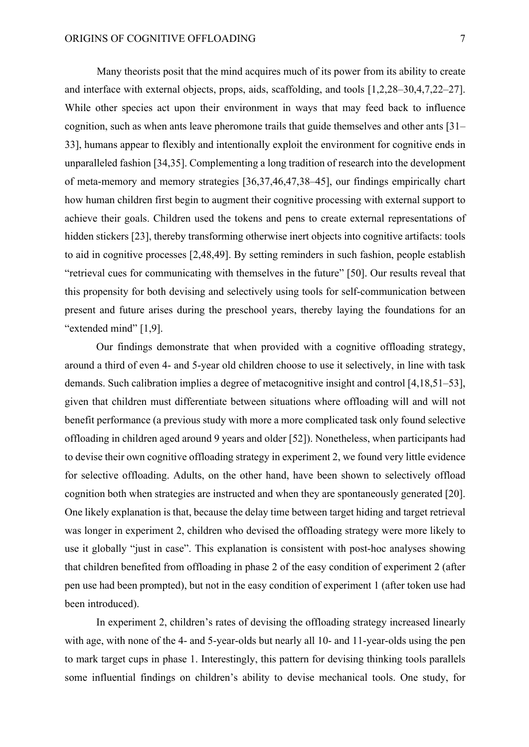Many theorists posit that the mind acquires much of its power from its ability to create and interface with external objects, props, aids, scaffolding, and tools [1,2,28–30,4,7,22–27]. While other species act upon their environment in ways that may feed back to influence cognition, such as when ants leave pheromone trails that guide themselves and other ants [31– 33], humans appear to flexibly and intentionally exploit the environment for cognitive ends in unparalleled fashion [34,35]. Complementing a long tradition of research into the development of meta-memory and memory strategies [36,37,46,47,38–45], our findings empirically chart how human children first begin to augment their cognitive processing with external support to achieve their goals. Children used the tokens and pens to create external representations of hidden stickers [23], thereby transforming otherwise inert objects into cognitive artifacts: tools to aid in cognitive processes [2,48,49]. By setting reminders in such fashion, people establish "retrieval cues for communicating with themselves in the future" [50]. Our results reveal that this propensity for both devising and selectively using tools for self-communication between present and future arises during the preschool years, thereby laying the foundations for an "extended mind" [1,9].

Our findings demonstrate that when provided with a cognitive offloading strategy, around a third of even 4- and 5-year old children choose to use it selectively, in line with task demands. Such calibration implies a degree of metacognitive insight and control [4,18,51–53], given that children must differentiate between situations where offloading will and will not benefit performance (a previous study with more a more complicated task only found selective offloading in children aged around 9 years and older [52]). Nonetheless, when participants had to devise their own cognitive offloading strategy in experiment 2, we found very little evidence for selective offloading. Adults, on the other hand, have been shown to selectively offload cognition both when strategies are instructed and when they are spontaneously generated [20]. One likely explanation is that, because the delay time between target hiding and target retrieval was longer in experiment 2, children who devised the offloading strategy were more likely to use it globally "just in case". This explanation is consistent with post-hoc analyses showing that children benefited from offloading in phase 2 of the easy condition of experiment 2 (after pen use had been prompted), but not in the easy condition of experiment 1 (after token use had been introduced).

In experiment 2, children's rates of devising the offloading strategy increased linearly with age, with none of the 4- and 5-year-olds but nearly all 10- and 11-year-olds using the pen to mark target cups in phase 1. Interestingly, this pattern for devising thinking tools parallels some influential findings on children's ability to devise mechanical tools. One study, for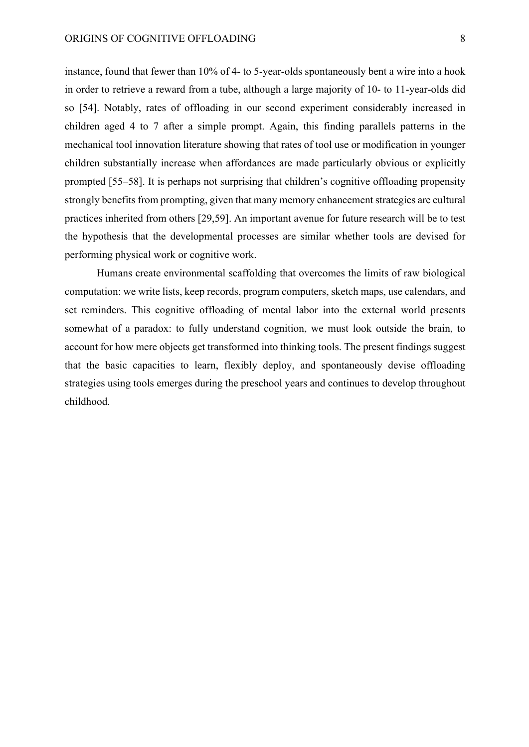instance, found that fewer than 10% of 4- to 5-year-olds spontaneously bent a wire into a hook in order to retrieve a reward from a tube, although a large majority of 10- to 11-year-olds did so [54]. Notably, rates of offloading in our second experiment considerably increased in children aged 4 to 7 after a simple prompt. Again, this finding parallels patterns in the mechanical tool innovation literature showing that rates of tool use or modification in younger children substantially increase when affordances are made particularly obvious or explicitly prompted [55–58]. It is perhaps not surprising that children's cognitive offloading propensity strongly benefits from prompting, given that many memory enhancement strategies are cultural practices inherited from others [29,59]. An important avenue for future research will be to test the hypothesis that the developmental processes are similar whether tools are devised for performing physical work or cognitive work.

Humans create environmental scaffolding that overcomes the limits of raw biological computation: we write lists, keep records, program computers, sketch maps, use calendars, and set reminders. This cognitive offloading of mental labor into the external world presents somewhat of a paradox: to fully understand cognition, we must look outside the brain, to account for how mere objects get transformed into thinking tools. The present findings suggest that the basic capacities to learn, flexibly deploy, and spontaneously devise offloading strategies using tools emerges during the preschool years and continues to develop throughout childhood.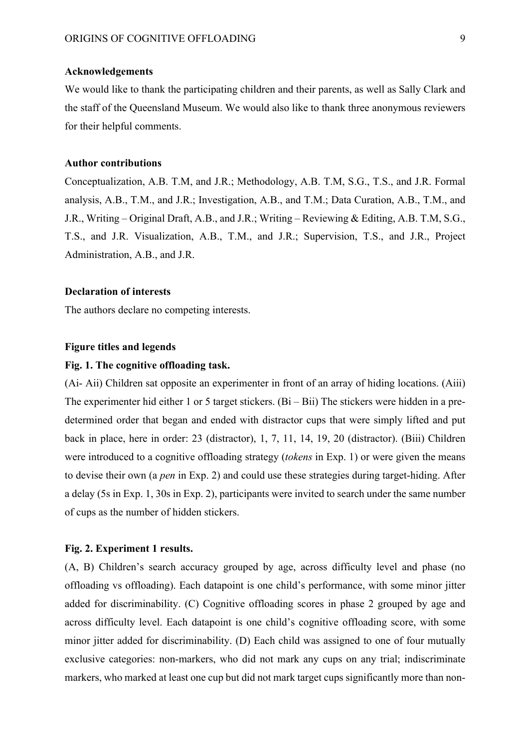## **Acknowledgements**

We would like to thank the participating children and their parents, as well as Sally Clark and the staff of the Queensland Museum. We would also like to thank three anonymous reviewers for their helpful comments.

## **Author contributions**

Conceptualization, A.B. T.M, and J.R.; Methodology, A.B. T.M, S.G., T.S., and J.R. Formal analysis, A.B., T.M., and J.R.; Investigation, A.B., and T.M.; Data Curation, A.B., T.M., and J.R., Writing – Original Draft, A.B., and J.R.; Writing – Reviewing & Editing, A.B. T.M, S.G., T.S., and J.R. Visualization, A.B., T.M., and J.R.; Supervision, T.S., and J.R., Project Administration, A.B., and J.R.

## **Declaration of interests**

The authors declare no competing interests.

## **Figure titles and legends**

## **Fig. 1. The cognitive offloading task.**

(Ai- Aii) Children sat opposite an experimenter in front of an array of hiding locations. (Aiii) The experimenter hid either 1 or 5 target stickers.  $(Bi - Bi)$  The stickers were hidden in a predetermined order that began and ended with distractor cups that were simply lifted and put back in place, here in order: 23 (distractor), 1, 7, 11, 14, 19, 20 (distractor). (Biii) Children were introduced to a cognitive offloading strategy (*tokens* in Exp. 1) or were given the means to devise their own (a *pen* in Exp. 2) and could use these strategies during target-hiding. After a delay (5s in Exp. 1, 30s in Exp. 2), participants were invited to search under the same number of cups as the number of hidden stickers.

#### **Fig. 2. Experiment 1 results.**

(A, B) Children's search accuracy grouped by age, across difficulty level and phase (no offloading vs offloading). Each datapoint is one child's performance, with some minor jitter added for discriminability. (C) Cognitive offloading scores in phase 2 grouped by age and across difficulty level. Each datapoint is one child's cognitive offloading score, with some minor jitter added for discriminability. (D) Each child was assigned to one of four mutually exclusive categories: non-markers, who did not mark any cups on any trial; indiscriminate markers, who marked at least one cup but did not mark target cups significantly more than non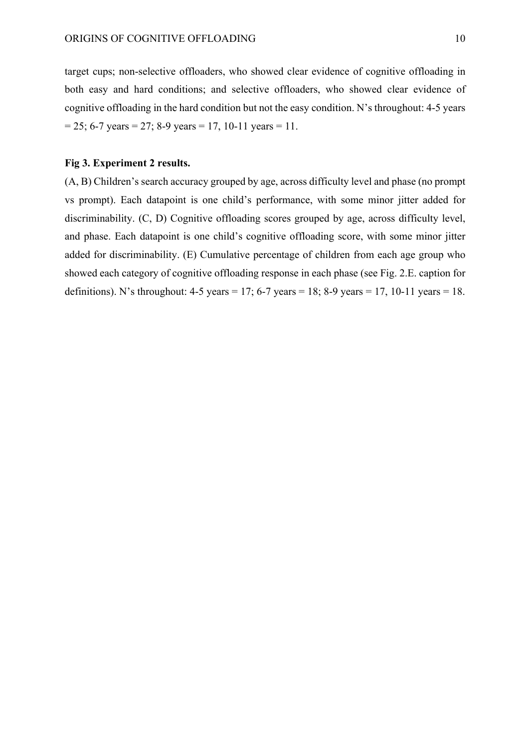target cups; non-selective offloaders, who showed clear evidence of cognitive offloading in both easy and hard conditions; and selective offloaders, who showed clear evidence of cognitive offloading in the hard condition but not the easy condition. N's throughout: 4-5 years  $= 25$ ; 6-7 years  $= 27$ ; 8-9 years  $= 17$ , 10-11 years  $= 11$ .

## **Fig 3. Experiment 2 results.**

(A, B) Children's search accuracy grouped by age, across difficulty level and phase (no prompt vs prompt). Each datapoint is one child's performance, with some minor jitter added for discriminability. (C, D) Cognitive offloading scores grouped by age, across difficulty level, and phase. Each datapoint is one child's cognitive offloading score, with some minor jitter added for discriminability. (E) Cumulative percentage of children from each age group who showed each category of cognitive offloading response in each phase (see Fig. 2.E. caption for definitions). N's throughout:  $4-5$  years = 17;  $6-7$  years = 18;  $8-9$  years = 17, 10-11 years = 18.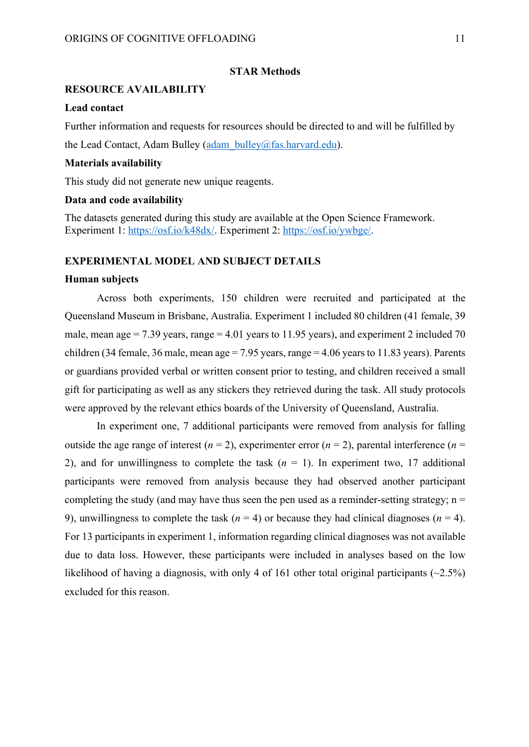## **STAR Methods**

## **RESOURCE AVAILABILITY**

## **Lead contact**

Further information and requests for resources should be directed to and will be fulfilled by

the Lead Contact, Adam Bulley (adam bulley@fas.harvard.edu).

#### **Materials availability**

This study did not generate new unique reagents.

## **Data and code availability**

The datasets generated during this study are available at the Open Science Framework. Experiment 1: https://osf.io/k48dx/. Experiment 2: https://osf.io/ywbge/.

## **EXPERIMENTAL MODEL AND SUBJECT DETAILS**

#### **Human subjects**

Across both experiments, 150 children were recruited and participated at the Queensland Museum in Brisbane, Australia. Experiment 1 included 80 children (41 female, 39 male, mean age = 7.39 years, range = 4.01 years to 11.95 years), and experiment 2 included 70 children (34 female, 36 male, mean age = 7.95 years, range = 4.06 years to 11.83 years). Parents or guardians provided verbal or written consent prior to testing, and children received a small gift for participating as well as any stickers they retrieved during the task. All study protocols were approved by the relevant ethics boards of the University of Queensland, Australia.

In experiment one, 7 additional participants were removed from analysis for falling outside the age range of interest  $(n = 2)$ , experimenter error  $(n = 2)$ , parental interference  $(n = 1)$ 2), and for unwillingness to complete the task  $(n = 1)$ . In experiment two, 17 additional participants were removed from analysis because they had observed another participant completing the study (and may have thus seen the pen used as a reminder-setting strategy;  $n =$ 9), unwillingness to complete the task  $(n = 4)$  or because they had clinical diagnoses  $(n = 4)$ . For 13 participants in experiment 1, information regarding clinical diagnoses was not available due to data loss. However, these participants were included in analyses based on the low likelihood of having a diagnosis, with only 4 of 161 other total original participants  $(\sim 2.5\%)$ excluded for this reason.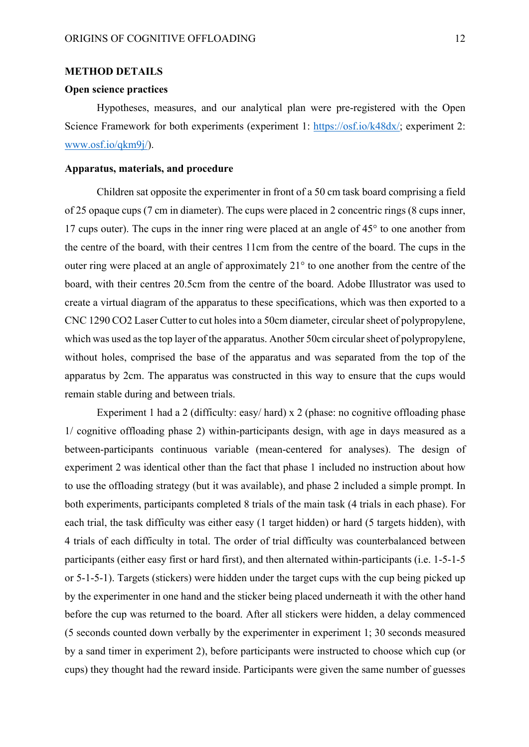#### **METHOD DETAILS**

#### **Open science practices**

Hypotheses, measures, and our analytical plan were pre-registered with the Open Science Framework for both experiments (experiment 1: https://osf.io/k48dx/; experiment 2: www.osf.io/qkm9j/).

## **Apparatus, materials, and procedure**

Children sat opposite the experimenter in front of a 50 cm task board comprising a field of 25 opaque cups (7 cm in diameter). The cups were placed in 2 concentric rings (8 cups inner, 17 cups outer). The cups in the inner ring were placed at an angle of  $45^{\circ}$  to one another from the centre of the board, with their centres 11cm from the centre of the board. The cups in the outer ring were placed at an angle of approximately 21° to one another from the centre of the board, with their centres 20.5cm from the centre of the board. Adobe Illustrator was used to create a virtual diagram of the apparatus to these specifications, which was then exported to a CNC 1290 CO2 Laser Cutter to cut holes into a 50cm diameter, circular sheet of polypropylene, which was used as the top layer of the apparatus. Another 50cm circular sheet of polypropylene, without holes, comprised the base of the apparatus and was separated from the top of the apparatus by 2cm. The apparatus was constructed in this way to ensure that the cups would remain stable during and between trials.

Experiment 1 had a 2 (difficulty: easy/ hard) x 2 (phase: no cognitive offloading phase 1/ cognitive offloading phase 2) within-participants design, with age in days measured as a between-participants continuous variable (mean-centered for analyses). The design of experiment 2 was identical other than the fact that phase 1 included no instruction about how to use the offloading strategy (but it was available), and phase 2 included a simple prompt. In both experiments, participants completed 8 trials of the main task (4 trials in each phase). For each trial, the task difficulty was either easy (1 target hidden) or hard (5 targets hidden), with 4 trials of each difficulty in total. The order of trial difficulty was counterbalanced between participants (either easy first or hard first), and then alternated within-participants (i.e. 1-5-1-5 or 5-1-5-1). Targets (stickers) were hidden under the target cups with the cup being picked up by the experimenter in one hand and the sticker being placed underneath it with the other hand before the cup was returned to the board. After all stickers were hidden, a delay commenced (5 seconds counted down verbally by the experimenter in experiment 1; 30 seconds measured by a sand timer in experiment 2), before participants were instructed to choose which cup (or cups) they thought had the reward inside. Participants were given the same number of guesses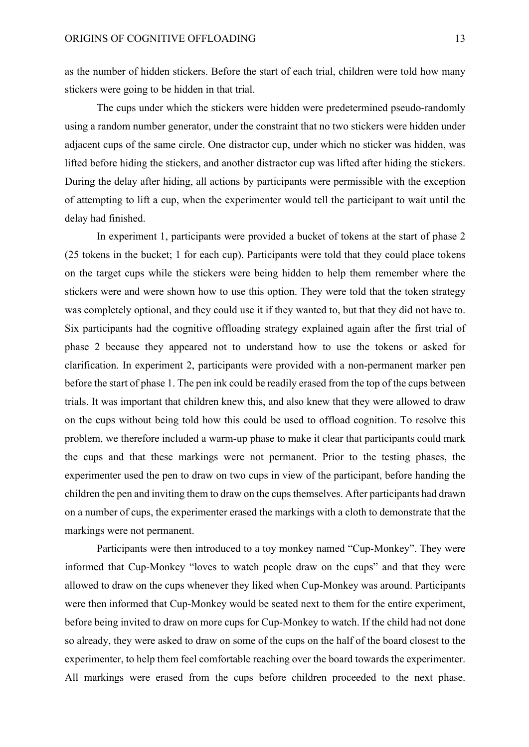as the number of hidden stickers. Before the start of each trial, children were told how many stickers were going to be hidden in that trial.

The cups under which the stickers were hidden were predetermined pseudo-randomly using a random number generator, under the constraint that no two stickers were hidden under adjacent cups of the same circle. One distractor cup, under which no sticker was hidden, was lifted before hiding the stickers, and another distractor cup was lifted after hiding the stickers. During the delay after hiding, all actions by participants were permissible with the exception of attempting to lift a cup, when the experimenter would tell the participant to wait until the delay had finished.

In experiment 1, participants were provided a bucket of tokens at the start of phase 2 (25 tokens in the bucket; 1 for each cup). Participants were told that they could place tokens on the target cups while the stickers were being hidden to help them remember where the stickers were and were shown how to use this option. They were told that the token strategy was completely optional, and they could use it if they wanted to, but that they did not have to. Six participants had the cognitive offloading strategy explained again after the first trial of phase 2 because they appeared not to understand how to use the tokens or asked for clarification. In experiment 2, participants were provided with a non-permanent marker pen before the start of phase 1. The pen ink could be readily erased from the top of the cups between trials. It was important that children knew this, and also knew that they were allowed to draw on the cups without being told how this could be used to offload cognition. To resolve this problem, we therefore included a warm-up phase to make it clear that participants could mark the cups and that these markings were not permanent. Prior to the testing phases, the experimenter used the pen to draw on two cups in view of the participant, before handing the children the pen and inviting them to draw on the cups themselves. After participants had drawn on a number of cups, the experimenter erased the markings with a cloth to demonstrate that the markings were not permanent.

Participants were then introduced to a toy monkey named "Cup-Monkey". They were informed that Cup-Monkey "loves to watch people draw on the cups" and that they were allowed to draw on the cups whenever they liked when Cup-Monkey was around. Participants were then informed that Cup-Monkey would be seated next to them for the entire experiment, before being invited to draw on more cups for Cup-Monkey to watch. If the child had not done so already, they were asked to draw on some of the cups on the half of the board closest to the experimenter, to help them feel comfortable reaching over the board towards the experimenter. All markings were erased from the cups before children proceeded to the next phase.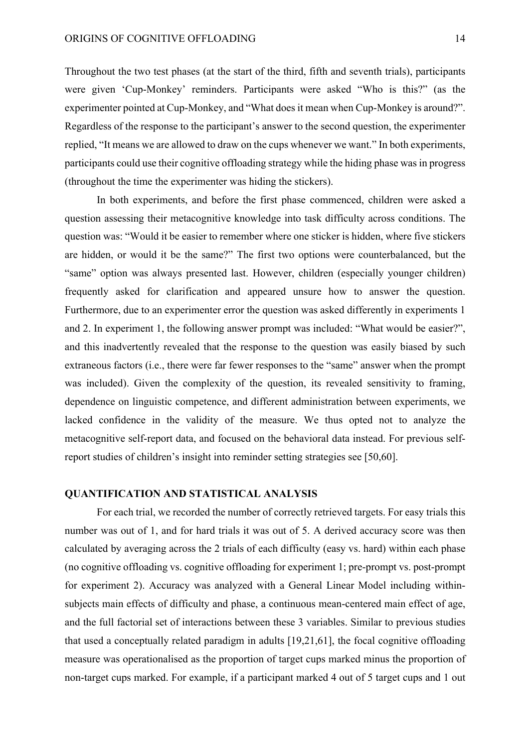Throughout the two test phases (at the start of the third, fifth and seventh trials), participants were given 'Cup-Monkey' reminders. Participants were asked "Who is this?" (as the experimenter pointed at Cup-Monkey, and "What does it mean when Cup-Monkey is around?". Regardless of the response to the participant's answer to the second question, the experimenter replied, "It means we are allowed to draw on the cups whenever we want." In both experiments, participants could use their cognitive offloading strategy while the hiding phase was in progress (throughout the time the experimenter was hiding the stickers).

In both experiments, and before the first phase commenced, children were asked a question assessing their metacognitive knowledge into task difficulty across conditions. The question was: "Would it be easier to remember where one sticker is hidden, where five stickers are hidden, or would it be the same?" The first two options were counterbalanced, but the "same" option was always presented last. However, children (especially younger children) frequently asked for clarification and appeared unsure how to answer the question. Furthermore, due to an experimenter error the question was asked differently in experiments 1 and 2. In experiment 1, the following answer prompt was included: "What would be easier?", and this inadvertently revealed that the response to the question was easily biased by such extraneous factors (i.e., there were far fewer responses to the "same" answer when the prompt was included). Given the complexity of the question, its revealed sensitivity to framing, dependence on linguistic competence, and different administration between experiments, we lacked confidence in the validity of the measure. We thus opted not to analyze the metacognitive self-report data, and focused on the behavioral data instead. For previous selfreport studies of children's insight into reminder setting strategies see [50,60].

# **QUANTIFICATION AND STATISTICAL ANALYSIS**

For each trial, we recorded the number of correctly retrieved targets. For easy trials this number was out of 1, and for hard trials it was out of 5. A derived accuracy score was then calculated by averaging across the 2 trials of each difficulty (easy vs. hard) within each phase (no cognitive offloading vs. cognitive offloading for experiment 1; pre-prompt vs. post-prompt for experiment 2). Accuracy was analyzed with a General Linear Model including withinsubjects main effects of difficulty and phase, a continuous mean-centered main effect of age, and the full factorial set of interactions between these 3 variables. Similar to previous studies that used a conceptually related paradigm in adults [19,21,61], the focal cognitive offloading measure was operationalised as the proportion of target cups marked minus the proportion of non-target cups marked. For example, if a participant marked 4 out of 5 target cups and 1 out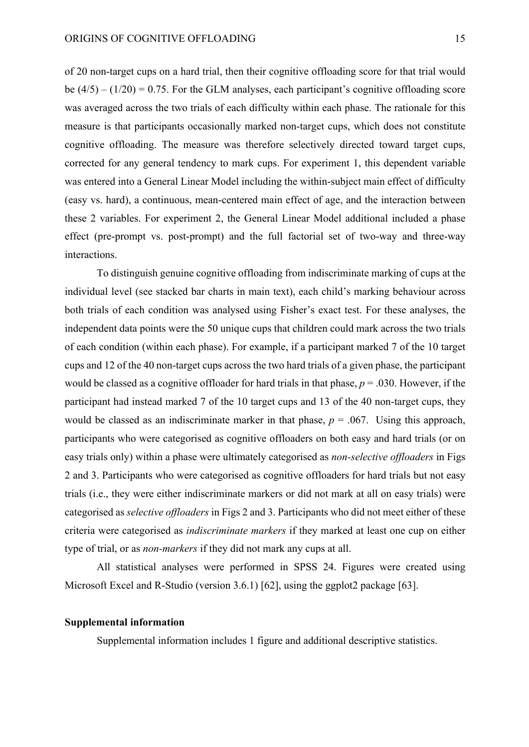of 20 non-target cups on a hard trial, then their cognitive offloading score for that trial would be  $(4/5) - (1/20) = 0.75$ . For the GLM analyses, each participant's cognitive offloading score was averaged across the two trials of each difficulty within each phase. The rationale for this measure is that participants occasionally marked non-target cups, which does not constitute cognitive offloading. The measure was therefore selectively directed toward target cups, corrected for any general tendency to mark cups. For experiment 1, this dependent variable was entered into a General Linear Model including the within-subject main effect of difficulty (easy vs. hard), a continuous, mean-centered main effect of age, and the interaction between these 2 variables. For experiment 2, the General Linear Model additional included a phase effect (pre-prompt vs. post-prompt) and the full factorial set of two-way and three-way interactions.

To distinguish genuine cognitive offloading from indiscriminate marking of cups at the individual level (see stacked bar charts in main text), each child's marking behaviour across both trials of each condition was analysed using Fisher's exact test. For these analyses, the independent data points were the 50 unique cups that children could mark across the two trials of each condition (within each phase). For example, if a participant marked 7 of the 10 target cups and 12 of the 40 non-target cups across the two hard trials of a given phase, the participant would be classed as a cognitive offloader for hard trials in that phase, *p* = .030. However, if the participant had instead marked 7 of the 10 target cups and 13 of the 40 non-target cups, they would be classed as an indiscriminate marker in that phase,  $p = .067$ . Using this approach, participants who were categorised as cognitive offloaders on both easy and hard trials (or on easy trials only) within a phase were ultimately categorised as *non-selective offloaders* in Figs 2 and 3. Participants who were categorised as cognitive offloaders for hard trials but not easy trials (i.e., they were either indiscriminate markers or did not mark at all on easy trials) were categorised as *selective offloaders* in Figs 2 and 3. Participants who did not meet either of these criteria were categorised as *indiscriminate markers* if they marked at least one cup on either type of trial, or as *non-markers* if they did not mark any cups at all.

All statistical analyses were performed in SPSS 24. Figures were created using Microsoft Excel and R-Studio (version 3.6.1) [62], using the ggplot2 package [63].

## **Supplemental information**

Supplemental information includes 1 figure and additional descriptive statistics.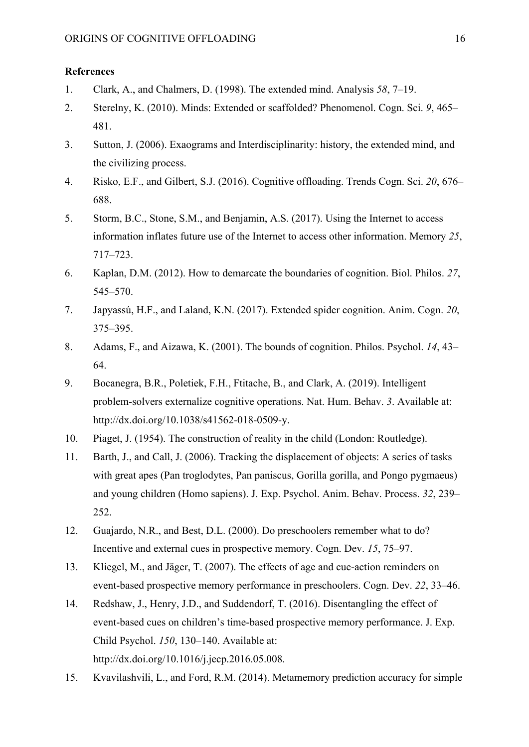## **References**

- 1. Clark, A., and Chalmers, D. (1998). The extended mind. Analysis *58*, 7–19.
- 2. Sterelny, K. (2010). Minds: Extended or scaffolded? Phenomenol. Cogn. Sci. *9*, 465– 481.
- 3. Sutton, J. (2006). Exaograms and Interdisciplinarity: history, the extended mind, and the civilizing process.
- 4. Risko, E.F., and Gilbert, S.J. (2016). Cognitive offloading. Trends Cogn. Sci. *20*, 676– 688.
- 5. Storm, B.C., Stone, S.M., and Benjamin, A.S. (2017). Using the Internet to access information inflates future use of the Internet to access other information. Memory *25*, 717–723.
- 6. Kaplan, D.M. (2012). How to demarcate the boundaries of cognition. Biol. Philos. *27*, 545–570.
- 7. Japyassú, H.F., and Laland, K.N. (2017). Extended spider cognition. Anim. Cogn. *20*, 375–395.
- 8. Adams, F., and Aizawa, K. (2001). The bounds of cognition. Philos. Psychol. *14*, 43– 64.
- 9. Bocanegra, B.R., Poletiek, F.H., Ftitache, B., and Clark, A. (2019). Intelligent problem-solvers externalize cognitive operations. Nat. Hum. Behav. *3*. Available at: http://dx.doi.org/10.1038/s41562-018-0509-y.
- 10. Piaget, J. (1954). The construction of reality in the child (London: Routledge).
- 11. Barth, J., and Call, J. (2006). Tracking the displacement of objects: A series of tasks with great apes (Pan troglodytes, Pan paniscus, Gorilla gorilla, and Pongo pygmaeus) and young children (Homo sapiens). J. Exp. Psychol. Anim. Behav. Process. *32*, 239– 252.
- 12. Guajardo, N.R., and Best, D.L. (2000). Do preschoolers remember what to do? Incentive and external cues in prospective memory. Cogn. Dev. *15*, 75–97.
- 13. Kliegel, M., and Jäger, T. (2007). The effects of age and cue-action reminders on event-based prospective memory performance in preschoolers. Cogn. Dev. *22*, 33–46.
- 14. Redshaw, J., Henry, J.D., and Suddendorf, T. (2016). Disentangling the effect of event-based cues on children's time-based prospective memory performance. J. Exp. Child Psychol. *150*, 130–140. Available at: http://dx.doi.org/10.1016/j.jecp.2016.05.008.
- 15. Kvavilashvili, L., and Ford, R.M. (2014). Metamemory prediction accuracy for simple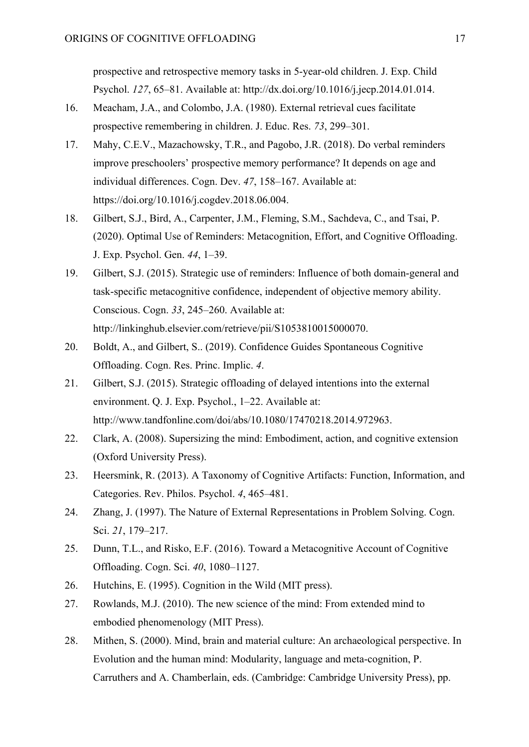prospective and retrospective memory tasks in 5-year-old children. J. Exp. Child Psychol. *127*, 65–81. Available at: http://dx.doi.org/10.1016/j.jecp.2014.01.014.

- 16. Meacham, J.A., and Colombo, J.A. (1980). External retrieval cues facilitate prospective remembering in children. J. Educ. Res. *73*, 299–301.
- 17. Mahy, C.E.V., Mazachowsky, T.R., and Pagobo, J.R. (2018). Do verbal reminders improve preschoolers' prospective memory performance? It depends on age and individual differences. Cogn. Dev. *47*, 158–167. Available at: https://doi.org/10.1016/j.cogdev.2018.06.004.
- 18. Gilbert, S.J., Bird, A., Carpenter, J.M., Fleming, S.M., Sachdeva, C., and Tsai, P. (2020). Optimal Use of Reminders: Metacognition, Effort, and Cognitive Offloading. J. Exp. Psychol. Gen. *44*, 1–39.
- 19. Gilbert, S.J. (2015). Strategic use of reminders: Influence of both domain-general and task-specific metacognitive confidence, independent of objective memory ability. Conscious. Cogn. *33*, 245–260. Available at: http://linkinghub.elsevier.com/retrieve/pii/S1053810015000070.
- 20. Boldt, A., and Gilbert, S.. (2019). Confidence Guides Spontaneous Cognitive Offloading. Cogn. Res. Princ. Implic. *4*.
- 21. Gilbert, S.J. (2015). Strategic offloading of delayed intentions into the external environment. Q. J. Exp. Psychol., 1–22. Available at: http://www.tandfonline.com/doi/abs/10.1080/17470218.2014.972963.
- 22. Clark, A. (2008). Supersizing the mind: Embodiment, action, and cognitive extension (Oxford University Press).
- 23. Heersmink, R. (2013). A Taxonomy of Cognitive Artifacts: Function, Information, and Categories. Rev. Philos. Psychol. *4*, 465–481.
- 24. Zhang, J. (1997). The Nature of External Representations in Problem Solving. Cogn. Sci. *21*, 179–217.
- 25. Dunn, T.L., and Risko, E.F. (2016). Toward a Metacognitive Account of Cognitive Offloading. Cogn. Sci. *40*, 1080–1127.
- 26. Hutchins, E. (1995). Cognition in the Wild (MIT press).
- 27. Rowlands, M.J. (2010). The new science of the mind: From extended mind to embodied phenomenology (MIT Press).
- 28. Mithen, S. (2000). Mind, brain and material culture: An archaeological perspective. In Evolution and the human mind: Modularity, language and meta-cognition, P. Carruthers and A. Chamberlain, eds. (Cambridge: Cambridge University Press), pp.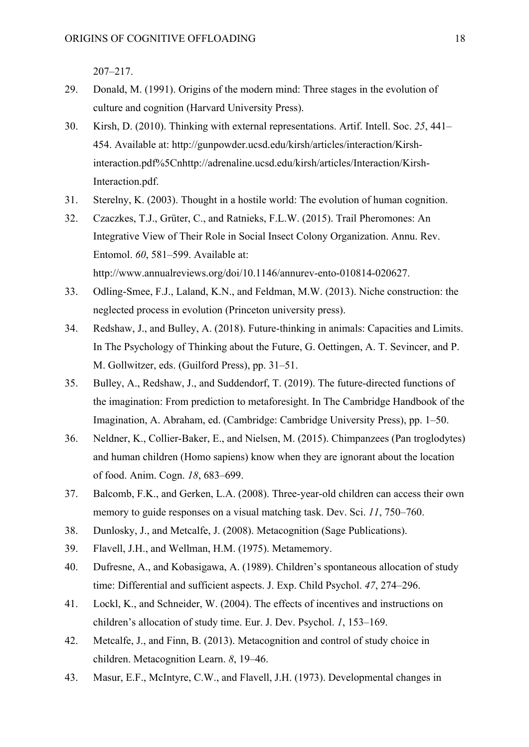207–217.

- 29. Donald, M. (1991). Origins of the modern mind: Three stages in the evolution of culture and cognition (Harvard University Press).
- 30. Kirsh, D. (2010). Thinking with external representations. Artif. Intell. Soc. *25*, 441– 454. Available at: http://gunpowder.ucsd.edu/kirsh/articles/interaction/Kirshinteraction.pdf%5Cnhttp://adrenaline.ucsd.edu/kirsh/articles/Interaction/Kirsh-Interaction.pdf.
- 31. Sterelny, K. (2003). Thought in a hostile world: The evolution of human cognition.
- 32. Czaczkes, T.J., Grüter, C., and Ratnieks, F.L.W. (2015). Trail Pheromones: An Integrative View of Their Role in Social Insect Colony Organization. Annu. Rev. Entomol. *60*, 581–599. Available at: http://www.annualreviews.org/doi/10.1146/annurev-ento-010814-020627.
- 33. Odling-Smee, F.J., Laland, K.N., and Feldman, M.W. (2013). Niche construction: the neglected process in evolution (Princeton university press).
- 34. Redshaw, J., and Bulley, A. (2018). Future-thinking in animals: Capacities and Limits. In The Psychology of Thinking about the Future, G. Oettingen, A. T. Sevincer, and P. M. Gollwitzer, eds. (Guilford Press), pp. 31–51.
- 35. Bulley, A., Redshaw, J., and Suddendorf, T. (2019). The future-directed functions of the imagination: From prediction to metaforesight. In The Cambridge Handbook of the Imagination, A. Abraham, ed. (Cambridge: Cambridge University Press), pp. 1–50.
- 36. Neldner, K., Collier-Baker, E., and Nielsen, M. (2015). Chimpanzees (Pan troglodytes) and human children (Homo sapiens) know when they are ignorant about the location of food. Anim. Cogn. *18*, 683–699.
- 37. Balcomb, F.K., and Gerken, L.A. (2008). Three-year-old children can access their own memory to guide responses on a visual matching task. Dev. Sci. *11*, 750–760.
- 38. Dunlosky, J., and Metcalfe, J. (2008). Metacognition (Sage Publications).
- 39. Flavell, J.H., and Wellman, H.M. (1975). Metamemory.
- 40. Dufresne, A., and Kobasigawa, A. (1989). Children's spontaneous allocation of study time: Differential and sufficient aspects. J. Exp. Child Psychol. *47*, 274–296.
- 41. Lockl, K., and Schneider, W. (2004). The effects of incentives and instructions on children's allocation of study time. Eur. J. Dev. Psychol. *1*, 153–169.
- 42. Metcalfe, J., and Finn, B. (2013). Metacognition and control of study choice in children. Metacognition Learn. *8*, 19–46.
- 43. Masur, E.F., McIntyre, C.W., and Flavell, J.H. (1973). Developmental changes in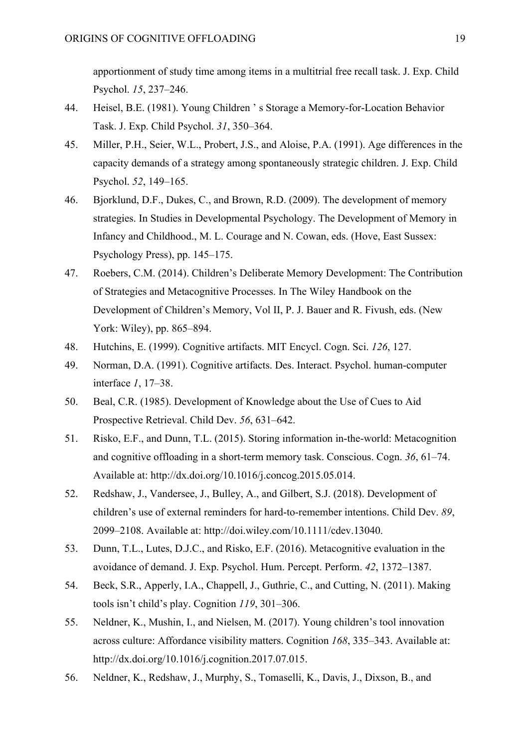apportionment of study time among items in a multitrial free recall task. J. Exp. Child Psychol. *15*, 237–246.

- 44. Heisel, B.E. (1981). Young Children ' s Storage a Memory-for-Location Behavior Task. J. Exp. Child Psychol. *31*, 350–364.
- 45. Miller, P.H., Seier, W.L., Probert, J.S., and Aloise, P.A. (1991). Age differences in the capacity demands of a strategy among spontaneously strategic children. J. Exp. Child Psychol. *52*, 149–165.
- 46. Bjorklund, D.F., Dukes, C., and Brown, R.D. (2009). The development of memory strategies. In Studies in Developmental Psychology. The Development of Memory in Infancy and Childhood., M. L. Courage and N. Cowan, eds. (Hove, East Sussex: Psychology Press), pp. 145–175.
- 47. Roebers, C.M. (2014). Children's Deliberate Memory Development: The Contribution of Strategies and Metacognitive Processes. In The Wiley Handbook on the Development of Children's Memory, Vol II, P. J. Bauer and R. Fivush, eds. (New York: Wiley), pp. 865–894.
- 48. Hutchins, E. (1999). Cognitive artifacts. MIT Encycl. Cogn. Sci. *126*, 127.
- 49. Norman, D.A. (1991). Cognitive artifacts. Des. Interact. Psychol. human-computer interface *1*, 17–38.
- 50. Beal, C.R. (1985). Development of Knowledge about the Use of Cues to Aid Prospective Retrieval. Child Dev. *56*, 631–642.
- 51. Risko, E.F., and Dunn, T.L. (2015). Storing information in-the-world: Metacognition and cognitive offloading in a short-term memory task. Conscious. Cogn. *36*, 61–74. Available at: http://dx.doi.org/10.1016/j.concog.2015.05.014.
- 52. Redshaw, J., Vandersee, J., Bulley, A., and Gilbert, S.J. (2018). Development of children's use of external reminders for hard-to-remember intentions. Child Dev. *89*, 2099–2108. Available at: http://doi.wiley.com/10.1111/cdev.13040.
- 53. Dunn, T.L., Lutes, D.J.C., and Risko, E.F. (2016). Metacognitive evaluation in the avoidance of demand. J. Exp. Psychol. Hum. Percept. Perform. *42*, 1372–1387.
- 54. Beck, S.R., Apperly, I.A., Chappell, J., Guthrie, C., and Cutting, N. (2011). Making tools isn't child's play. Cognition *119*, 301–306.
- 55. Neldner, K., Mushin, I., and Nielsen, M. (2017). Young children's tool innovation across culture: Affordance visibility matters. Cognition *168*, 335–343. Available at: http://dx.doi.org/10.1016/j.cognition.2017.07.015.
- 56. Neldner, K., Redshaw, J., Murphy, S., Tomaselli, K., Davis, J., Dixson, B., and